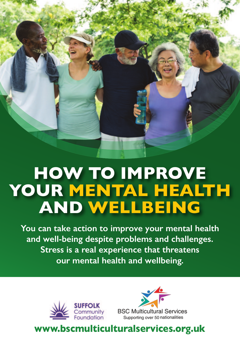## **HOW TO IMPROVE YOUR MENTAL HEALTH AND WELLBEING**

**You can take action to improve your mental health and well-being despite problems and challenges. Stress is a real experience that threatens our mental health and wellbeing.** 





## **www.bscmulticulturalservices.org.uk**